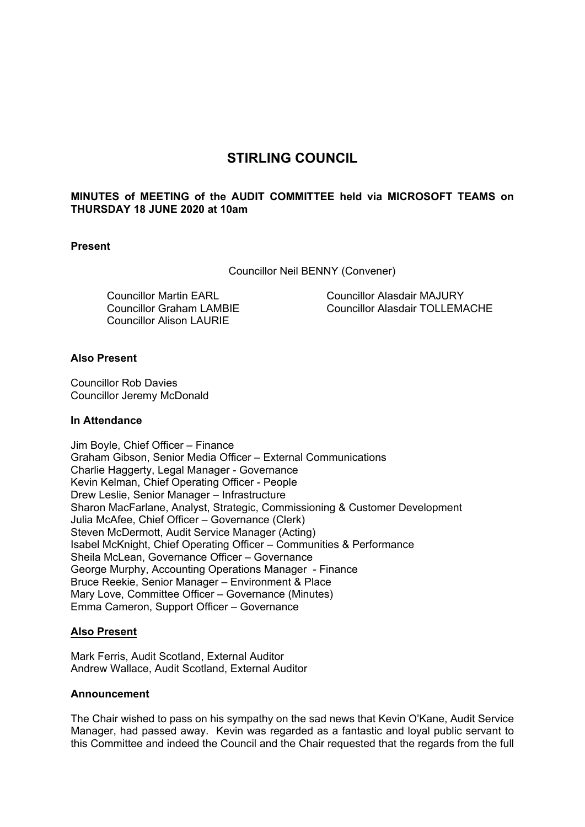# **STIRLING COUNCIL**

# **MINUTES of MEETING of the AUDIT COMMITTEE held via MICROSOFT TEAMS on THURSDAY 18 JUNE 2020 at 10am**

# **Present**

Councillor Neil BENNY (Convener)

Councillor Martin EARL Councillor Graham LAMBIE Councillor Alison LAURIE

Councillor Alasdair MAJURY Councillor Alasdair TOLLEMACHE

# **Also Present**

Councillor Rob Davies Councillor Jeremy McDonald

### **In Attendance**

Jim Boyle, Chief Officer – Finance Graham Gibson, Senior Media Officer – External Communications Charlie Haggerty, Legal Manager - Governance Kevin Kelman, Chief Operating Officer - People Drew Leslie, Senior Manager – Infrastructure Sharon MacFarlane, Analyst, Strategic, Commissioning & Customer Development Julia McAfee, Chief Officer – Governance (Clerk) Steven McDermott, Audit Service Manager (Acting) Isabel McKnight, Chief Operating Officer – Communities & Performance Sheila McLean, Governance Officer – Governance George Murphy, Accounting Operations Manager - Finance Bruce Reekie, Senior Manager – Environment & Place Mary Love, Committee Officer – Governance (Minutes) Emma Cameron, Support Officer – Governance

### **Also Present**

Mark Ferris, Audit Scotland, External Auditor Andrew Wallace, Audit Scotland, External Auditor

### **Announcement**

The Chair wished to pass on his sympathy on the sad news that Kevin O'Kane, Audit Service Manager, had passed away. Kevin was regarded as a fantastic and loyal public servant to this Committee and indeed the Council and the Chair requested that the regards from the full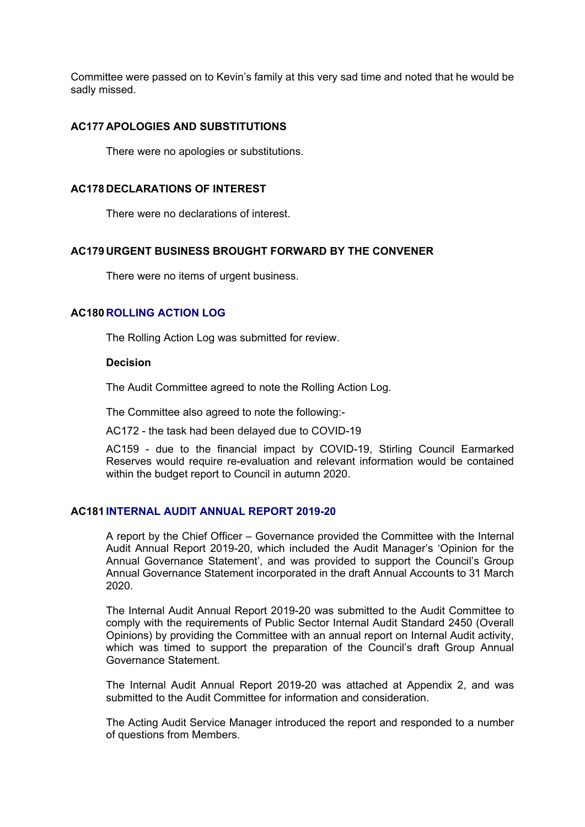Committee were passed on to Kevin's family at this very sad time and noted that he would be sadly missed.

# **AC177 APOLOGIES AND SUBSTITUTIONS**

There were no apologies or substitutions.

### **AC178 DECLARATIONS OF INTEREST**

There were no declarations of interest.

### **AC179 URGENT BUSINESS BROUGHT FORWARD BY THE CONVENER**

There were no items of urgent business.

# **AC180 ROLLING ACTION LOG**

The Rolling Action Log was submitted for review.

# **Decision**

The Audit Committee agreed to note the Rolling Action Log.

The Committee also agreed to note the following:-

AC172 - the task had been delayed due to COVID-19

AC159 - due to the financial impact by COVID-19, Stirling Council Earmarked Reserves would require re-evaluation and relevant information would be contained within the budget report to Council in autumn 2020.

# **AC181 INTERNAL AUDIT ANNUAL REPORT 2019-20**

A report by the Chief Officer – Governance provided the Committee with the Internal Audit Annual Report 2019-20, which included the Audit Manager's 'Opinion for the Annual Governance Statement', and was provided to support the Council's Group Annual Governance Statement incorporated in the draft Annual Accounts to 31 March 2020.

The Internal Audit Annual Report 2019-20 was submitted to the Audit Committee to comply with the requirements of Public Sector Internal Audit Standard 2450 (Overall Opinions) by providing the Committee with an annual report on Internal Audit activity, which was timed to support the preparation of the Council's draft Group Annual Governance Statement.

The Internal Audit Annual Report 2019-20 was attached at Appendix 2, and was submitted to the Audit Committee for information and consideration.

The Acting Audit Service Manager introduced the report and responded to a number of questions from Members.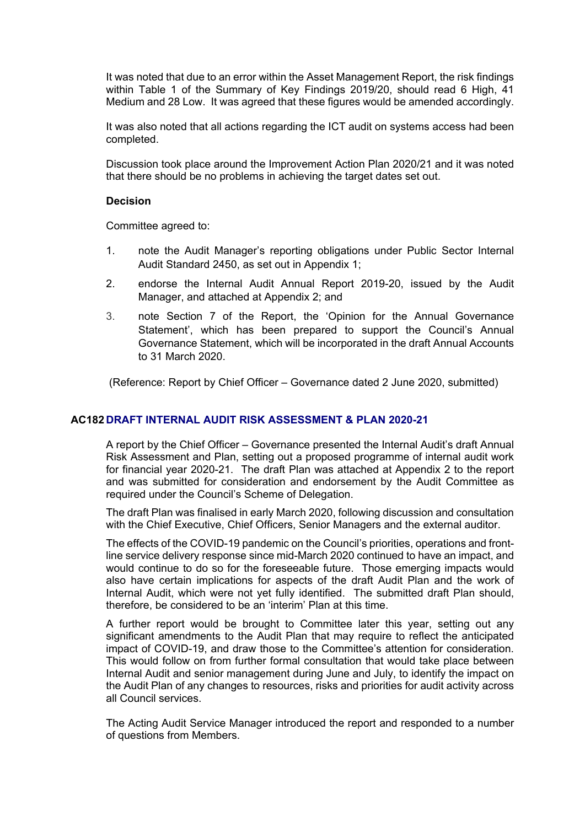It was noted that due to an error within the Asset Management Report, the risk findings within Table 1 of the Summary of Key Findings 2019/20, should read 6 High, 41 Medium and 28 Low. It was agreed that these figures would be amended accordingly.

It was also noted that all actions regarding the ICT audit on systems access had been completed.

Discussion took place around the Improvement Action Plan 2020/21 and it was noted that there should be no problems in achieving the target dates set out.

### **Decision**

Committee agreed to:

- 1. note the Audit Manager's reporting obligations under Public Sector Internal Audit Standard 2450, as set out in Appendix 1;
- 2. endorse the Internal Audit Annual Report 2019-20, issued by the Audit Manager, and attached at Appendix 2; and
- 3. note Section 7 of the Report, the 'Opinion for the Annual Governance Statement', which has been prepared to support the Council's Annual Governance Statement, which will be incorporated in the draft Annual Accounts to 31 March 2020.

(Reference: Report by Chief Officer – Governance dated 2 June 2020, submitted)

### **AC182 DRAFT INTERNAL AUDIT RISK ASSESSMENT & PLAN 2020-21**

A report by the Chief Officer – Governance presented the Internal Audit's draft Annual Risk Assessment and Plan, setting out a proposed programme of internal audit work for financial year 2020-21. The draft Plan was attached at Appendix 2 to the report and was submitted for consideration and endorsement by the Audit Committee as required under the Council's Scheme of Delegation.

The draft Plan was finalised in early March 2020, following discussion and consultation with the Chief Executive, Chief Officers, Senior Managers and the external auditor.

The effects of the COVID-19 pandemic on the Council's priorities, operations and frontline service delivery response since mid-March 2020 continued to have an impact, and would continue to do so for the foreseeable future. Those emerging impacts would also have certain implications for aspects of the draft Audit Plan and the work of Internal Audit, which were not yet fully identified. The submitted draft Plan should, therefore, be considered to be an 'interim' Plan at this time.

A further report would be brought to Committee later this year, setting out any significant amendments to the Audit Plan that may require to reflect the anticipated impact of COVID-19, and draw those to the Committee's attention for consideration. This would follow on from further formal consultation that would take place between Internal Audit and senior management during June and July, to identify the impact on the Audit Plan of any changes to resources, risks and priorities for audit activity across all Council services.

The Acting Audit Service Manager introduced the report and responded to a number of questions from Members.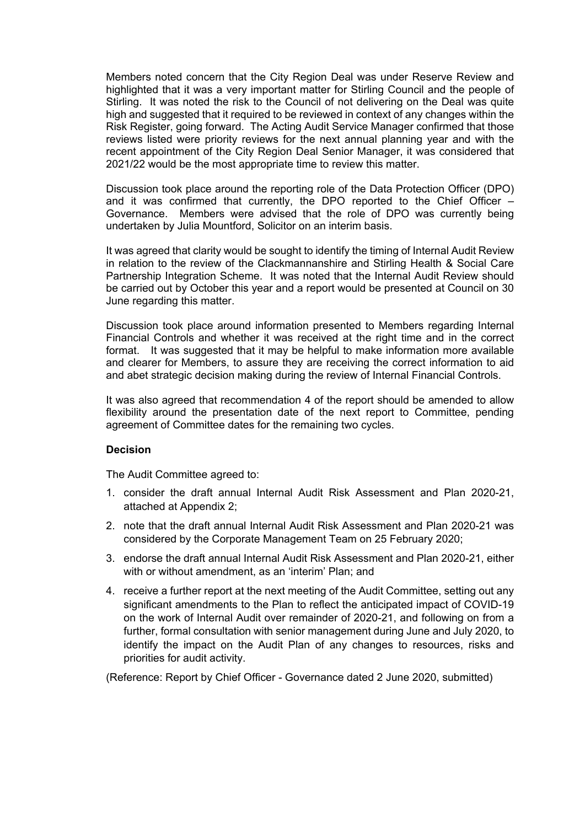Members noted concern that the City Region Deal was under Reserve Review and highlighted that it was a very important matter for Stirling Council and the people of Stirling. It was noted the risk to the Council of not delivering on the Deal was quite high and suggested that it required to be reviewed in context of any changes within the Risk Register, going forward. The Acting Audit Service Manager confirmed that those reviews listed were priority reviews for the next annual planning year and with the recent appointment of the City Region Deal Senior Manager, it was considered that 2021/22 would be the most appropriate time to review this matter.

Discussion took place around the reporting role of the Data Protection Officer (DPO) and it was confirmed that currently, the DPO reported to the Chief Officer  $-$ Governance. Members were advised that the role of DPO was currently being undertaken by Julia Mountford, Solicitor on an interim basis.

It was agreed that clarity would be sought to identify the timing of Internal Audit Review in relation to the review of the Clackmannanshire and Stirling Health & Social Care Partnership Integration Scheme. It was noted that the Internal Audit Review should be carried out by October this year and a report would be presented at Council on 30 June regarding this matter.

Discussion took place around information presented to Members regarding Internal Financial Controls and whether it was received at the right time and in the correct format. It was suggested that it may be helpful to make information more available and clearer for Members, to assure they are receiving the correct information to aid and abet strategic decision making during the review of Internal Financial Controls.

It was also agreed that recommendation 4 of the report should be amended to allow flexibility around the presentation date of the next report to Committee, pending agreement of Committee dates for the remaining two cycles.

### **Decision**

The Audit Committee agreed to:

- 1. consider the draft annual Internal Audit Risk Assessment and Plan 2020-21, attached at Appendix 2;
- 2. note that the draft annual Internal Audit Risk Assessment and Plan 2020-21 was considered by the Corporate Management Team on 25 February 2020;
- 3. endorse the draft annual Internal Audit Risk Assessment and Plan 2020-21, either with or without amendment, as an 'interim' Plan; and
- 4. receive a further report at the next meeting of the Audit Committee, setting out any significant amendments to the Plan to reflect the anticipated impact of COVID-19 on the work of Internal Audit over remainder of 2020-21, and following on from a further, formal consultation with senior management during June and July 2020, to identify the impact on the Audit Plan of any changes to resources, risks and priorities for audit activity.

(Reference: Report by Chief Officer - Governance dated 2 June 2020, submitted)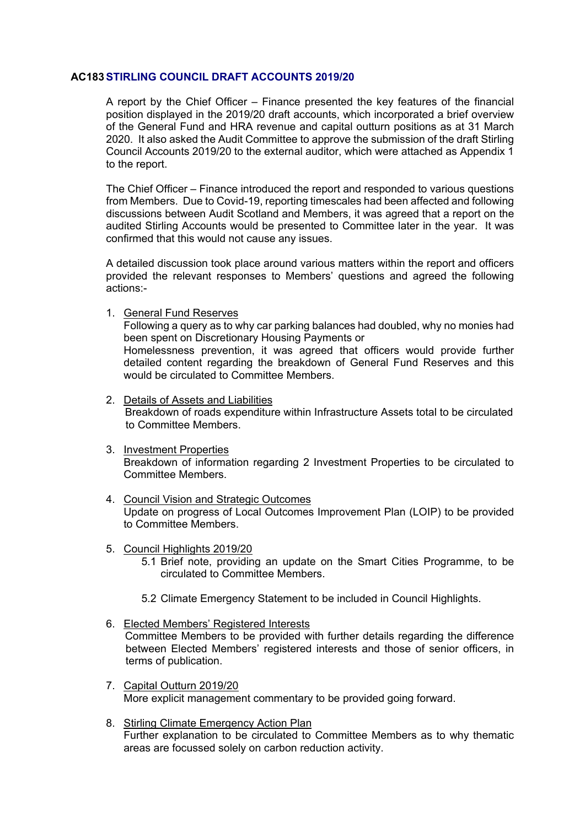# **AC183STIRLING COUNCIL DRAFT ACCOUNTS 2019/20**

A report by the Chief Officer – Finance presented the key features of the financial position displayed in the 2019/20 draft accounts, which incorporated a brief overview of the General Fund and HRA revenue and capital outturn positions as at 31 March 2020. It also asked the Audit Committee to approve the submission of the draft Stirling Council Accounts 2019/20 to the external auditor, which were attached as Appendix 1 to the report.

The Chief Officer – Finance introduced the report and responded to various questions from Members. Due to Covid-19, reporting timescales had been affected and following discussions between Audit Scotland and Members, it was agreed that a report on the audited Stirling Accounts would be presented to Committee later in the year. It was confirmed that this would not cause any issues.

A detailed discussion took place around various matters within the report and officers provided the relevant responses to Members' questions and agreed the following actions:-

1. General Fund Reserves

Following a query as to why car parking balances had doubled, why no monies had been spent on Discretionary Housing Payments or Homelessness prevention, it was agreed that officers would provide further detailed content regarding the breakdown of General Fund Reserves and this would be circulated to Committee Members.

2. Details of Assets and Liabilities

Breakdown of roads expenditure within Infrastructure Assets total to be circulated to Committee Members.

- 3. Investment Properties Breakdown of information regarding 2 Investment Properties to be circulated to Committee Members.
- 4. Council Vision and Strategic Outcomes Update on progress of Local Outcomes Improvement Plan (LOIP) to be provided to Committee Members.
- 5. Council Highlights 2019/20
	- 5.1 Brief note, providing an update on the Smart Cities Programme, to be circulated to Committee Members.
	- 5.2 Climate Emergency Statement to be included in Council Highlights.
- 6. Elected Members' Registered Interests

Committee Members to be provided with further details regarding the difference between Elected Members' registered interests and those of senior officers, in terms of publication.

- 7. Capital Outturn 2019/20 More explicit management commentary to be provided going forward.
- 8. Stirling Climate Emergency Action Plan Further explanation to be circulated to Committee Members as to why thematic areas are focussed solely on carbon reduction activity.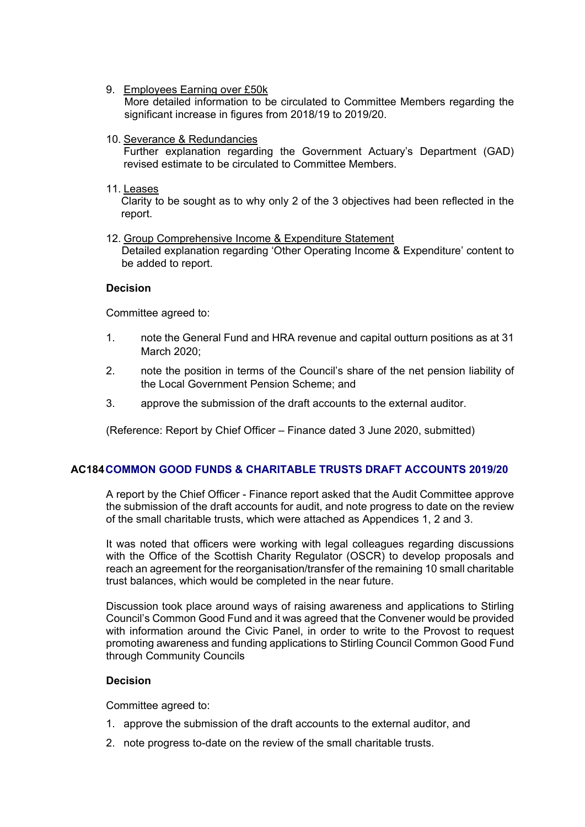9. Employees Earning over £50k

More detailed information to be circulated to Committee Members regarding the significant increase in figures from 2018/19 to 2019/20.

- 10. Severance & Redundancies Further explanation regarding the Government Actuary's Department (GAD) revised estimate to be circulated to Committee Members.
- 11. Leases

Clarity to be sought as to why only 2 of the 3 objectives had been reflected in the report.

12. Group Comprehensive Income & Expenditure Statement Detailed explanation regarding 'Other Operating Income & Expenditure' content to be added to report.

# **Decision**

Committee agreed to:

- 1. note the General Fund and HRA revenue and capital outturn positions as at 31 March 2020;
- 2. note the position in terms of the Council's share of the net pension liability of the Local Government Pension Scheme; and
- 3. approve the submission of the draft accounts to the external auditor.

(Reference: Report by Chief Officer – Finance dated 3 June 2020, submitted)

# **AC184COMMON GOOD FUNDS & CHARITABLE TRUSTS DRAFT ACCOUNTS 2019/20**

A report by the Chief Officer - Finance report asked that the Audit Committee approve the submission of the draft accounts for audit, and note progress to date on the review of the small charitable trusts, which were attached as Appendices 1, 2 and 3.

It was noted that officers were working with legal colleagues regarding discussions with the Office of the Scottish Charity Regulator (OSCR) to develop proposals and reach an agreement for the reorganisation/transfer of the remaining 10 small charitable trust balances, which would be completed in the near future.

Discussion took place around ways of raising awareness and applications to Stirling Council's Common Good Fund and it was agreed that the Convener would be provided with information around the Civic Panel, in order to write to the Provost to request promoting awareness and funding applications to Stirling Council Common Good Fund through Community Councils

### **Decision**

Committee agreed to:

- 1. approve the submission of the draft accounts to the external auditor, and
- 2. note progress to-date on the review of the small charitable trusts.